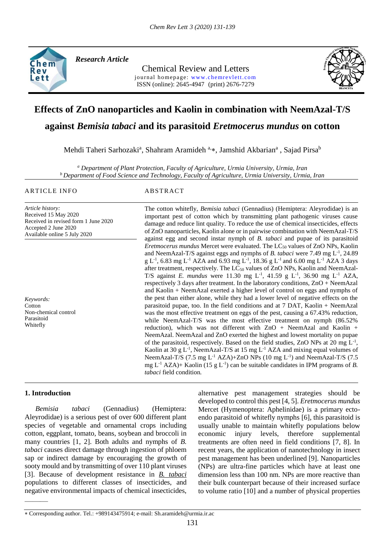

*Research Article* 

Chemical Review and Letters journal homepage: www.chemrevlett.com ISSN (online): 2645-4947(print) 2676-7279



# **Effects of ZnO nanoparticles and Kaolin in combination with NeemAzal-T/S**

# **against** *Bemisia tabaci* **and its parasitoid** *Eretmocerus mundus* **on cotton**

Mehdi Taheri Sarhozaki<sup>a</sup>, Shahram Aramideh <sup>a,</sup>\*, Jamshid Akbarian<sup>a</sup>, Sajad Pirsa<sup>b</sup>

*<sup>a</sup> Department of Plant Protection, Faculty of Agriculture, Urmia University, Urmia, Iran <sup>b</sup> Department of Food Science and Technology, Faculty of Agriculture, Urmia University, Urmia, Iran*

#### ARTICLE INFO ABSTRACT

Available online 5 July 2020

*Article history:* Received 15 May 2020 Received in revised form 1 June 2020 Accepted 2 June 2020

*Keywords:* Cotton Non-chemical control Parasitoid Whitefly

The cotton whitefly, *Bemisia tabaci* (Gennadius) (Hemiptera: Aleyrodidae) is an important pest of cotton which by transmitting plant pathogenic viruses cause damage and reduce lint quality. To reduce the use of chemical insecticides, effects of ZnO nanoparticles, Kaolin alone or in pairwise combination with NeemAzal-T/S against egg and second instar nymph of *B. tabaci* and pupae of its parasitoid *Eretmocerus mundus* Mercet were evaluated. The LC<sub>50</sub> values of ZnO NPs, Kaolin and NeemAzal-T/S against eggs and nymphs of *B. tabaci* were 7.49 mg L<sup>-1</sup>, 24.89  $g L^{-1}$ , 6.83 mg L<sup>-1</sup> AZA and 6.93 mg L<sup>-1</sup>, 18.36 g L<sup>-1</sup> and 6.00 mg L<sup>-1</sup> AZA 3 days after treatment, respectively. The  $LC_{50}$  values of ZnO NPs, Kaolin and NeemAzal-T/S against *E. mundus* were 11.30 mg L<sup>-1</sup>, 41.59 g L<sup>-1</sup>, 36.90 mg L<sup>-1</sup> AZA, respectively 3 days after treatment. In the laboratory conditions, ZnO + NeemAzal and Kaolin + NeemAzal exerted a higher level of control on eggs and nymphs of the pest than either alone, while they had a lower level of negative effects on the parasitoid pupae, too. In the field conditions and at 7 DAT, Kaolin + NeemAzal was the most effective treatment on eggs of the pest, causing a 67.43% reduction, while NeemAzal-T/S was the most effective treatment on nymph (86.52% reduction), which was not different with  $ZnO + NeemAzal$  and Kaolin + NeemAzal. NeemAzal and ZnO exerted the highest and lowest mortality on pupae of the parasitoid, respectively. Based on the field studies, ZnO NPs at 20 mg  $L^{-1}$ , Kaolin at 30 g  $L^{-1}$ , NeemAzal-T/S at 15 mg  $L^{-1}$  AZA and mixing equal volumes of NeemAzal-T/S (7.5 mg L<sup>-1</sup> AZA)+ZnO NPs (10 mg L<sup>-1</sup>) and NeemAzal-T/S (7.5 mg  $L^{-1}$  AZA)+ Kaolin (15 g  $L^{-1}$ ) can be suitable candidates in IPM programs of *B*. *tabaci* field condition*.*

#### **1. Introduction**

———

 *Bemisia tabaci* (Gennadius) (Hemiptera: Aleyrodidae) is a serious pest of over 600 different plant species of vegetable and ornamental crops including cotton, eggplant, tomato, beans, soybean and broccoli in many countries [1, 2]. Both adults and nymphs of *B. tabaci* causes direct damage through ingestion of phloem sap or indirect damage by encouraging the growth of sooty mould and by transmitting of over 110 plant viruses [3]. Because of development resistance in *B. tabaci* populations to different classes of insecticides, and negative environmental impacts of chemical insecticides,

alternative pest management strategies should be developed to control this pest [4, 5]. *Eretmocerus mundus* Mercet (Hymenoptera: Aphelinidae) is a primary ectoendo parasitoid of whitefly nymphs [6], this parasitoid is usually unable to maintain whitefly populations below economic injury levels, therefore supplemental treatments are often need in field conditions [7, 8]. In recent years, the application of nanotechnology in insect pest management has been underlined [9]. Nanoparticles (NPs) are ultra-fine particles which have at least one dimension less than 100 nm. NPs are more reactive than their bulk counterpart because of their increased surface to volume ratio [10] and a number of physical properties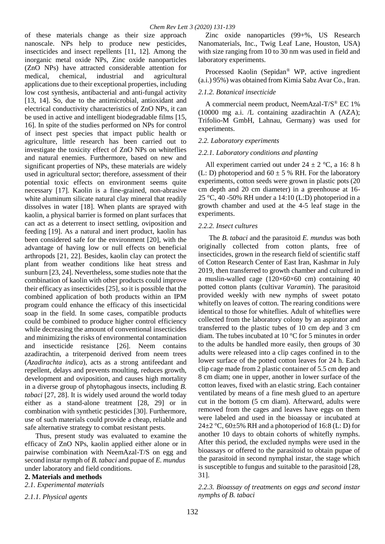of these materials change as their size approach nanoscale. NPs help to produce new pesticides, insecticides and insect repellents [11, 12]. Among the inorganic metal oxide NPs, Zinc oxide nanoparticles (ZnO NPs) have attracted considerable attention for medical, chemical, industrial and agricultural applications due to their exceptional properties, including low cost synthesis, antibacterial and anti-fungal activity [13, 14]. So, due to the antimicrobial, antioxidant and electrical conductivity characteristics of ZnO NPs, it can be used in active and intelligent biodegradable films [15, 16]. In spite of the studies performed on NPs for control of insect pest species that impact public health or agriculture, little research has been carried out to investigate the toxicity effect of ZnO NPs on whiteflies and natural enemies. Furthermore, based on new and significant properties of NPs, these materials are widely used in agricultural sector; therefore, assessment of their potential toxic effects on environment seems quite necessary [17]. Kaolin is a fine-grained, non-abrasive white aluminum silicate natural clay mineral that readily dissolves in water [18]. When plants are sprayed with kaolin, a physical barrier is formed on plant surfaces that can act as a deterrent to insect settling, oviposition and feeding [19]. As a natural and inert product, kaolin has been considered safe for the environment [20], with the advantage of having low or null effects on beneficial arthropods [21, 22]. Besides, kaolin clay can protect the plant from weather conditions like heat stress and sunburn [23, 24]. Nevertheless, some studies note that the combination of kaolin with other products could improve their efficacy as insecticides [25], so it is possible that the combined application of both products within an IPM program could enhance the efficacy of this insecticidal soap in the field. In some cases, compatible products could be combined to produce higher control efficiency while decreasing the amount of conventional insecticides and minimizing the risks of environmental contamination and insecticide resistance [26]. Neem contains azadirachtin, a triterpenoid derived from neem trees (*Azadirachta indica*), acts as a strong antifeedant and repellent, delays and prevents moulting, reduces growth, development and oviposition, and causes high mortality in a diverse group of phytophagous insects, including *B. tabaci* [27, 28]. It is widely used around the world today either as a stand-alone treatment [28, 29] or in combination with synthetic pesticides [30]. Furthermore, use of such materials could provide a cheap, reliable and safe alternative strategy to combat resistant pests.

 Thus, present study was evaluated to examine the efficacy of ZnO NPs, kaolin applied either alone or in pairwise combination with NeemAzal-T/S on egg and second instar nymph of *B. tabaci* and pupae of *E. mundus* under laboratory and field conditions.

#### **2. Materials and methods**

#### *2.1. Experimental materials*

*2.1.1. Physical agents*

 Zinc oxide nanoparticles (99+%, US Research Nanomaterials, Inc., Twig Leaf Lane, Houston, USA) with size ranging from 10 to 30 nm was used in field and laboratory experiments.

 Processed Kaolin (Sepidan® WP, active ingredient (a.i.) 95%) was obtained from Kimia Sabz Avar Co., Iran.

#### *2.1.2. Botanical insecticide*

 A commercial neem product, NeemAzal-T/S® EC 1% (10000 mg a.i. /L containing azadirachtin A (AZA); Trifolio-M GmbH, Lahnau, Germany) was used for experiments.

#### *2.2. Laboratory experiments*

#### *2.2.1. Laboratory conditions and planting*

All experiment carried out under  $24 \pm 2$  °C, a 16: 8 h (L: D) photoperiod and  $60 \pm 5$  % RH. For the laboratory experiments, cotton seeds were grown in plastic pots (20 cm depth and 20 cm diameter) in a greenhouse at 16- 25 °C, 40 -50% RH under a 14:10 (L:D) photoperiod in a growth chamber and used at the 4-5 leaf stage in the experiments.

#### *2.2.2. Insect cultures*

 The *B. tabaci* and the parasitoid *E. mundus* was both originally collected from cotton plants, free of insecticides, grown in the research field of scientific staff of Cotton Research Center of East Iran, Kashmar in July 2019, then transferred to growth chamber and cultured in a muslin-walled cage  $(120\times60\times60$  cm) containing 40 potted cotton plants (cultivar *Varamin*). The parasitoid provided weekly with new nymphs of sweet potato whitefly on leaves of cotton. The rearing conditions were identical to those for whiteflies. Adult of whiteflies were collected from the laboratory colony by an aspirator and transferred to the plastic tubes of 10 cm dep and 3 cm diam. The tubes incubated at 10 °C for 5 minutes in order to the adults be handled more easily, then groups of 30 adults were released into a clip cages confined in to the lower surface of the potted cotton leaves for 24 h. Each clip cage made from 2 plastic container of 5.5 cm dep and 8 cm diam; one in upper, another in lower surface of the cotton leaves, fixed with an elastic string. Each container ventilated by means of a fine mesh glued to an aperture cut in the bottom (5 cm diam). Afterward, adults were removed from the cages and leaves have eggs on them were labeled and used in the bioassay or incubated at 24 $\pm$ 2 °C, 60 $\pm$ 5% RH and a photoperiod of 16:8 (L: D) for another 10 days to obtain cohorts of whitefly nymphs. After this period, the excluded nymphs were used in the bioassays or offered to the parasitoid to obtain pupae of the parasitoid in second nymphal instar, the stage which is susceptible to fungus and suitable to the parasitoid [28, 31].

*2.2.3. Bioassay of treatments on eggs and second instar nymphs of B. tabaci*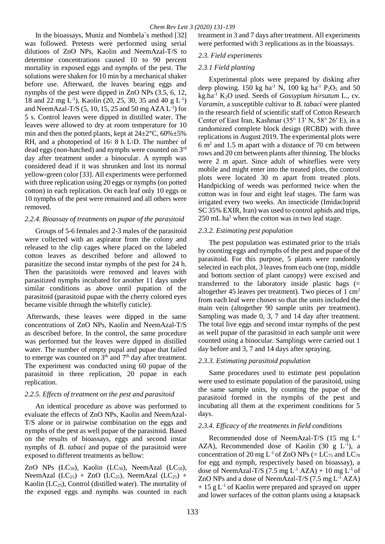In the bioassays, Muniz and Nombela`s method [32] was followed. Pretests were performed using serial dilutions of ZnO NPs, Kaolin and NeemAzal-T/S to determine concentrations caused 10 to 90 percent mortality in exposed eggs and nymphs of the pest. The solutions were shaken for 10 min by a mechanical shaker before use. Afterward, the leaves bearing eggs and nymphs of the pest were dipped in ZnO NPs (3.5, 6, 12, 18 and 22 mg L<sup>-1</sup>), Kaolin (20, 25, 30, 35 and 40 g L<sup>-1</sup>) and NeemAzal-T/S  $(5, 10, 15, 25,$  and  $50 \text{ mg AZA L}^{-1})$  for 5 s. Control leaves were dipped in distilled water. The leaves were allowed to dry at room temperature for 10 min and then the potted plants, kept at  $24\pm2\degree C$ ,  $60\% \pm 5\%$ RH, and a photoperiod of 16∶ 8 h L∶D. The number of dead eggs (non-hatched) and nymphs were counted on 3rd day after treatment under a binocular. A nymph was considered dead if it was shrunken and lost its normal yellow-green color [33]. All experiments were performed with three replication using 20 eggs or nymphs (on potted cotton) in each replication. On each leaf only 10 eggs or 10 nymphs of the pest were remained and all others were removed.

#### *2.2.4. Bioassay of treatments on pupae of the parasitoid*

 Groups of 5-6 females and 2-3 males of the parasitoid were collected with an aspirator from the colony and released to the clip cages where placed on the labeled cotton leaves as described before and allowed to parasitize the second instar nymphs of the pest for 24 h. Then the parasitoids were removed and leaves with parasitized nymphs incubated for another 11 days under similar conditions as above until pupation of the parasitoid (parasitoid pupae with the cherry colored eyes became visible through the whitefly cuticle).

Afterwards, these leaves were dipped in the same concentrations of ZnO NPs, Kaolin and NeemAzal-T/S as described before. In the control, the same procedure was performed but the leaves were dipped in distilled water. The number of empty pupal and pupae that failed to emerge was counted on  $3<sup>th</sup>$  and  $7<sup>th</sup>$  day after treatment. The experiment was conducted using 60 pupae of the parasitoid in three replication, 20 pupae in each replication.

#### *2.2.5. Effects of treatment on the pest and parasitoid*

 An identical procedure as above was performed to evaluate the effects of ZnO NPs, Kaolin and NeemAzal-T/S alone or in pairwise combination on the eggs and nymphs of the pest as well pupae of the parasitoid. Based on the results of bioassays, eggs and second instar nymphs of *B. tabaci* and pupae of the parasitoid were exposed to different treatments as bellow:

ZnO NPs  $(LC_{50})$ , Kaolin  $(LC_{50})$ , NeemAzal  $(LC_{50})$ , NeemAzal  $(LC_{25})$  + ZnO  $(LC_{25})$ , NeemAzal  $(LC_{25})$  + Kaolin ( $LC_{25}$ ), Control (distilled water). The mortality of the exposed eggs and nymphs was counted in each

treatment in 3 and 7 days after treatment. All experiments were performed with 3 replications as in the bioassays.

#### *2.3. Field experiments*

#### *2.3.1 Field planting*

 Experimental plots were prepared by disking after deep plowing. 150 kg ha<sup>-1</sup> N, 100 kg ha<sup>-1</sup> P<sub>2</sub>O<sub>5</sub> and 50 kg.ha-1 K2O used. Seeds of *Gossypium hirsutum* L., cv. *Varamin*, a susceptible cultivar to *B. tabaci* were planted in the research field of scientific staff of Cotton Research Center of East Iran, Kashmar (35° 13′ N, 58° 26′ E), in a randomized complete block design (RCBD) with three replications in August 2019. The experimental plots were 6 m<sup>2</sup> and 1.5 m apart with a distance of 70 cm between rows and 20 cm between plants after thinning. The blocks were 2 m apart. Since adult of whiteflies were very mobile and might enter into the treated plots, the control plots were located 30 m apart from treated plots. Handpicking of weeds was performed twice when the cotton was in four and eight leaf stages. The farm was irrigated every two weeks. An insecticide (Imidacloprid SC 35% EXIR, Iran) was used to control aphids and trips,  $250$  mL ha<sup>1</sup> when the cotton was in two leaf stage.

#### *2.3.2. Estimating pest population*

 The pest population was estimated prior to the trials by counting eggs and nymphs of the pest and pupae of the parasitoid. For this purpose, 5 plants were randomly selected in each plot, 3 leaves from each one (top, middle and bottom section of plant canopy) were excised and transferred to the laboratory inside plastic bags (= altogether 45 leaves per treatment). Two pieces of 1  $\text{cm}^2$ from each leaf were chosen so that the units included the main vein (altogether 90 sample units per treatment). Sampling was made 0, 3, 7 and 14 day after treatment. The total live eggs and second instar nymphs of the pest as well pupae of the parasitoid in each sample unit were counted using a binocular. Samplings were carried out 1 day before and 3, 7 and 14 days after spraying.

#### *2.3.3. Estimating parasitoid population*

 Same procedures used to estimate pest population were used to estimate population of the parasitoid, using the same sample units, by counting the pupae of the parasitoid formed in the nymphs of the pest and incubating all them at the experiment conditions for 5 days.

#### *2.3.4. Efficacy of the treatments in field conditions*

 Recommended dose of NeemAzal-T/S (15 mg L-1 AZA), Recommended dose of Kaolin  $(30 \text{ g L}^{-1})$ , a concentration of 20 mg L<sup>-1</sup> of ZnO NPs (=  $LC_{75}$  and  $LC_{78}$ for egg and nymph, respectively based on bioassay), a dose of NeemAzal-T/S (7.5 mg  $L^{-1}$  AZA) + 10 mg  $L^{-1}$  of ZnO NPs and a dose of NeemAzal-T/S  $(7.5 \text{ mg L}^{-1}$  AZA)  $+ 15$  g L<sup>-1</sup> of Kaolin were prepared and sprayed on upper and lower surfaces of the cotton plants using a knapsack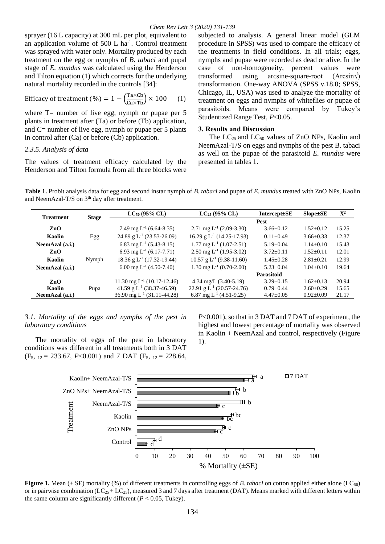sprayer (16 L capacity) at 300 mL per plot, equivalent to an application volume of  $500$  L ha<sup>-1</sup>. Control treatment was sprayed with water only. Mortality produced by each treatment on the egg or nymphs of *B. tabaci* and pupal stage of *E. mundus* was calculated using the Henderson and Tilton equation (1) which corrects for the underlying natural mortality recorded in the controls [34]:

Efficacy of treatment (%) = 
$$
1 - \left(\frac{\text{Ta} \times \text{Cb}}{\text{Ca} \times \text{Tb}}\right) \times 100
$$
 (1)

where  $T=$  number of live egg, nymph or pupae per 5 plants in treatment after (Ta) or before (Tb) application, and C= number of live egg, nymph or pupae per 5 plants in control after (Ca) or before (Cb) application.

#### *2.3.5. Analysis of data*

The values of treatment efficacy calculated by the Henderson and Tilton formula from all three blocks were

subjected to analysis. A general linear model (GLM procedure in SPSS) was used to compare the efficacy of the treatments in field conditions. In all trials; eggs, nymphs and pupae were recorded as dead or alive. In the case of non-homogeneity, percent values were transformed using arcsine-square-root  $(Aresin\sqrt{)}$ transformation. One-way ANOVA (SPSS v.18.0; SPSS, Chicago, IL, USA) was used to analyze the mortality of treatment on eggs and nymphs of whiteflies or pupae of parasitoids. Means were compared by Tukey's Studentized Range Test, *P*<0.05.

#### **3. Results and Discussion**

The  $LC_{25}$  and  $LC_{50}$  values of ZnO NPs, Kaolin and NeemAzal-T/S on eggs and nymphs of the pest B. tabaci as well on the pupae of the parasitoid *E. mundus* were presented in tables 1.

**Table 1.** Probit analysis data for egg and second instar nymph of *B. tabaci* and pupae of *E. mundus* treated with ZnO NPs, Kaolin and NeemAzal-T/S on 3<sup>th</sup> day after treatment.

|                  |              |                                        |                                         |                    |                 | ${\bf X}^2$ |  |  |  |
|------------------|--------------|----------------------------------------|-----------------------------------------|--------------------|-----------------|-------------|--|--|--|
| <b>Treatment</b> | <b>Stage</b> | $LC_{50}$ (95% CL)                     | $LC_{25}$ (95% CL)                      | Intercept $\pm$ SE | $Slope \pm SE$  |             |  |  |  |
|                  |              | <b>Pest</b>                            |                                         |                    |                 |             |  |  |  |
| ZnO              |              | 7.49 mg $L^{-1}$ (6.64-8.35)           | 2.71 mg $L^{-1}$ (2.09-3.30)            | $3.66+0.12$        | $1.52+0.12$     | 15.25       |  |  |  |
| Kaolin           | Egg          | 24.89 g $L^{-1}$ (23.53-26.09)         | 16.29 g $L^{-1}$ (14.25-17.93)          | $0.11 \pm 0.49$    | $3.66 \pm 0.33$ | 12.37       |  |  |  |
| NeemAzal (a.i.)  |              | 6.83 mg L <sup>-1</sup> (5.43-8.15)    | $1.77 \text{ mg } L^{-1} (1.07 - 2.51)$ | $5.19+0.04$        | $1.14 + 0.10$   | 15.43       |  |  |  |
| ZnO              |              | 6.93 mg $L^{-1}$ (6.17-7.71)           | 2.50 mg $L^{-1}$ (1.95-3.02)            | $3.72 + 0.11$      | $1.52+0.11$     | 12.01       |  |  |  |
| Kaolin           | Nymph        | 18.36 g $L^{-1}$ (17.32-19.44)         | 10.57 g $L^{-1}$ (9.38-11.60)           | $1.45 + 0.28$      | $2.81 \pm 0.21$ | 12.99       |  |  |  |
| NeemAzal (a.i.)  |              | 6.00 mg $L^{-1}$ (4.50-7.40)           | 1.30 mg $L^{-1}$ (0.70-2.00)            | $5.23+0.04$        | $1.04 + 0.10$   | 19.64       |  |  |  |
|                  |              |                                        |                                         | Parasitoid         |                 |             |  |  |  |
| ZnO              |              | 11.30 mg $L^{-1}$ (10.17-12.46)        | $4.34 \text{ mg/L}$ (3.40-5.19)         | $3.29 \pm 0.15$    | $1.62+0.13$     | 20.94       |  |  |  |
| Kaolin           | Pupa         | 41.59 g $L^{-1}$ (38.37-46.59)         | 22.91 g $L^{-1}$ (20.57-24.76)          | $0.79 + 0.44$      | $2.60 \pm 0.29$ | 15.65       |  |  |  |
| NeemAzal (a.i.)  |              | 36.90 mg L <sup>-1</sup> (31.11-44.28) | 6.87 mg L <sup>-1</sup> (4.51-9.25)     | $4.47+0.05$        | $0.92+0.09$     | 21.17       |  |  |  |

#### *3.1. Mortality of the eggs and nymphs of the pest in laboratory conditions*

 The mortality of eggs of the pest in laboratory conditions was different in all treatments both in 3 DAT (F5, 12 = 233.67, *P*<0.001) and 7 DAT (F5, 12 = 228.64,

*P*<0.001), so that in 3 DAT and 7 DAT of experiment, the highest and lowest percentage of mortality was observed in Kaolin + NeemAzal and control, respectively (Figure 1).



**Figure 1.** Mean ( $\pm$  SE) mortality (%) of different treatments in controlling eggs of *B. tabaci* on cotton applied either alone (LC<sub>50</sub>) or in pairwise combination ( $LC_{25} + LC_{25}$ ), measured 3 and 7 days after treatment (DAT). Means marked with different letters within the same column are significantly different ( $P < 0.05$ , Tukey).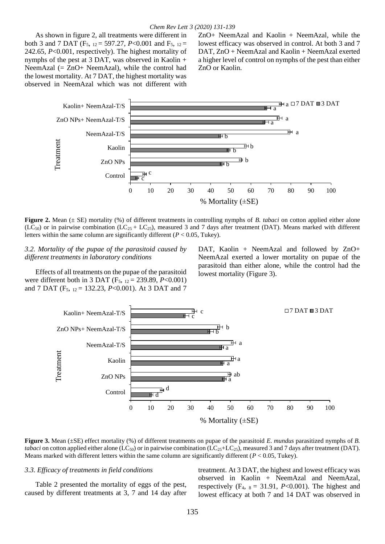As shown in figure 2, all treatments were different in both 3 and 7 DAT (F5, 12 = 597.27, *P*<0.001 and F5, 12 = 242.65, *P*<0.001, respectively). The highest mortality of nymphs of the pest at 3 DAT, was observed in Kaolin + NeemAzal  $(= ZnO+NeemAzal)$ , while the control had the lowest mortality. At 7 DAT, the highest mortality was observed in NeemAzal which was not different with

ZnO+ NeemAzal and Kaolin + NeemAzal, while the lowest efficacy was observed in control. At both 3 and 7 DAT, ZnO + NeemAzal and Kaolin + NeemAzal exerted a higher level of control on nymphs of the pest than either ZnO or Kaolin.



**Figure 2.** Mean ( $\pm$  SE) mortality (%) of different treatments in controlling nymphs of *B. tabaci* on cotton applied either alone (LC<sub>50</sub>) or in pairwise combination (LC<sub>25</sub> + LC<sub>25</sub>), measured 3 and 7 days after treatment (DAT). Means marked with different letters within the same column are significantly different  $(P < 0.05$ , Tukey).

*3.2. Mortality of the pupae of the parasitoid caused by different treatments in laboratory conditions*

 Effects of all treatments on the pupae of the parasitoid were different both in 3 DAT (F5, 12 = 239.89, *P*<0.001) and 7 DAT (F<sub>5</sub>,  $_{12}$  = 132.23, *P*<0.001). At 3 DAT and 7

DAT, Kaolin + NeemAzal and followed by ZnO+ NeemAzal exerted a lower mortality on pupae of the parasitoid than either alone, while the control had the lowest mortality (Figure 3).



**Figure 3.** Mean (±SE) effect mortality (%) of different treatments on pupae of the parasitoid *E. mundus* parasitized nymphs of *B. tabaci* on cotton applied either alone (LC<sub>50</sub>) or in pairwise combination (LC<sub>25</sub>+LC<sub>25</sub>), measured 3 and 7 days after treatment (DAT). Means marked with different letters within the same column are significantly different ( $P < 0.05$ , Tukey).

#### *3.3. Efficacy of treatments in field conditions*

 Table 2 presented the mortality of eggs of the pest, caused by different treatments at 3, 7 and 14 day after

treatment. At 3 DAT, the highest and lowest efficacy was observed in Kaolin + NeemAzal and NeemAzal, respectively  $(F_4, s = 31.91, P<0.001)$ . The highest and lowest efficacy at both 7 and 14 DAT was observed in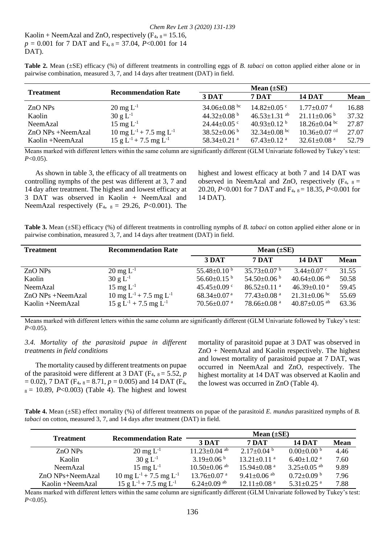*Chem Rev Lett 3 (2020) 131-139* Kaolin + NeemAzal and ZnO, respectively  $(F_4, _8 = 15.16, )$ *p* = 0.001 for 7 DAT and F4, <sup>8</sup>= 37.04, *P*<0.001 for 14 DAT).

| <b>Table 2.</b> Mean $(\pm SE)$ efficacy $(\%)$ of different treatments in controlling eggs of B. tabaci on cotton applied either alone or in |  |  |  |  |  |  |  |
|-----------------------------------------------------------------------------------------------------------------------------------------------|--|--|--|--|--|--|--|
| pairwise combination, measured 3, 7, and 14 days after treatment (DAT) in field.                                                              |  |  |  |  |  |  |  |

| <b>Treatment</b>  | <b>Recommendation Rate</b>                     |                               |                               |                              |             |
|-------------------|------------------------------------------------|-------------------------------|-------------------------------|------------------------------|-------------|
|                   |                                                | 3 DAT                         | 7 DAT                         | <b>14 DAT</b>                | <b>Mean</b> |
| $ZnO$ NPs         | $20 \,\mathrm{mg} \, \mathrm{L}^{-1}$          | 34.06 $\pm$ 0.08 bc           | $14.82 \pm 0.05$ °            | $1.77 \pm 0.07$ <sup>d</sup> | 16.88       |
| Kaolin            | $30 g L^{-1}$                                  | 44.32 $\pm$ 0.08 <sup>b</sup> | $46.53 \pm 1.31$ ab           | $21.11 \pm 0.06$ b           | 37.32       |
| NeemAzal          | $15 \text{ mg } L^{-1}$                        | $24.44 \pm 0.05$ °            | 40.93 $\pm$ 0.12 <sup>b</sup> | $18.26 \pm 0.04$ bc          | 27.87       |
| ZnO NPs +NeemAzal | 10 mg L <sup>-1</sup> + 7.5 mg L <sup>-1</sup> | $38.52 \pm 0.06^{\mathrm{b}}$ | $32.34 \pm 0.08$ bc           | $10.36 \pm 0.07$ cd          | 27.07       |
| Kaolin +NeemAzal  | $15 g L^{-1} + 7.5 mg L^{-1}$                  | 58.34 $\pm$ 0.21 $a$          | $67.43 \pm 0.12$ <sup>a</sup> | 32.61 $\pm$ 0.08 $^{\rm a}$  | 52.79       |

Means marked with different letters within the same column are significantly different (GLM Univariate followed by Tukey's test: *P*<0.05).

 As shown in table 3, the efficacy of all treatments on controlling nymphs of the pest was different at 3, 7 and 14 day after treatment. The highest and lowest efficacy at 3 DAT was observed in Kaolin + NeemAzal and NeemAzal respectively  $(F_4, s = 29.26, P<0.001)$ . The

highest and lowest efficacy at both 7 and 14 DAT was observed in NeemAzal and ZnO, respectively  $(F_4, g_5)$ 20.20, *P*<0.001 for 7 DAT and F<sub>4</sub>,  $_8$  = 18.35, *P*<0.001 for 14 DAT).

**Table 3.** Mean (±SE) efficacy (%) of different treatments in controlling nymphs of *B. tabaci* on cotton applied either alone or in pairwise combination, measured 3, 7, and 14 days after treatment (DAT) in field.

| <b>Treatment</b>    | <b>Recommendation Rate</b>                     | Mean $(\pm SE)$               |                               |                               |             |  |  |
|---------------------|------------------------------------------------|-------------------------------|-------------------------------|-------------------------------|-------------|--|--|
|                     |                                                | 3 DAT                         | <b>7 DAT</b>                  | <b>14 DAT</b>                 | <b>Mean</b> |  |  |
| $ZnO$ NPs           | $20 \text{ mg } L^{-1}$                        | 55.48 $\pm$ 0.10 <sup>b</sup> | $35.73 \pm 0.07$ b            | $3.44 \pm 0.07$ c             | 31.55       |  |  |
| Kaolin              | $30 \text{ g L}^{-1}$                          | 56.60 $\pm$ 0.15 <sup>b</sup> | 54.50 $\pm$ 0.06 <sup>b</sup> | $40.64\pm0.06$ <sup>ab</sup>  | 50.58       |  |  |
| NeemAzal            | $15 \text{ mg } L^{-1}$                        | 45.45 $\pm$ 0.09 $\degree$    | $86.52 \pm 0.11$ <sup>a</sup> | 46.39 $\pm$ 0.10 <sup>a</sup> | 59.45       |  |  |
| $ZnO$ NPs +NeemAzal | 10 mg L <sup>-1</sup> + 7.5 mg L <sup>-1</sup> | $68.34 \pm 0.07$ <sup>a</sup> | $77.43 \pm 0.08$ <sup>a</sup> | $21.31 \pm 0.06$ bc           | 55.69       |  |  |
| Kaolin +NeemAzal    | 15 g L <sup>-1</sup> + 7.5 mg L <sup>-1</sup>  | $70.56 \pm 0.07$ <sup>a</sup> | $78.66 \pm 0.08$ <sup>a</sup> | $40.87{\pm0.05}$ ab           | 63.36       |  |  |

Means marked with different letters within the same column are significantly different (GLM Univariate followed by Tukey's test: *P*<0.05).

#### *3.4. Mortality of the parasitoid pupae in different treatments in field conditions*

 The mortality caused by different treatments on pupae of the parasitoid were different at 3 DAT ( $F_4$ ,  $_8 = 5.52$ , *p*  $= 0.02$ ), 7 DAT (F<sub>4</sub>,  $_{8} = 8.71$ ,  $p = 0.005$ ) and 14 DAT (F<sub>4</sub>,  $s = 10.89$ , *P*<0.003) (Table 4). The highest and lowest

mortality of parasitoid pupae at 3 DAT was observed in ZnO + NeemAzal and Kaolin respectively. The highest and lowest mortality of parasitoid pupae at 7 DAT, was occurred in NeemAzal and ZnO, respectively. The highest mortality at 14 DAT was observed at Kaolin and the lowest was occurred in ZnO (Table 4).

**Table 4.** Mean (±SE) effect mortality (%) of different treatments on pupae of the parasitoid *E. mundus* parasitized nymphs of *B. tabaci* on cotton, measured 3, 7, and 14 days after treatment (DAT) in field.

|                    | <b>Recommendation Rate</b>                     | Mean $(\pm SE)$                |                               |                               |             |  |  |
|--------------------|------------------------------------------------|--------------------------------|-------------------------------|-------------------------------|-------------|--|--|
| <b>Treatment</b>   |                                                | 3 DAT                          | <b>7 DAT</b>                  | <b>14 DAT</b>                 | <b>Mean</b> |  |  |
| $ZnO$ NPs          | $20 \,\mathrm{mg} \, \mathrm{L}^{-1}$          | $11.23 \pm 0.04$ ab            | $2.17\pm0.04^{b}$             | $0.00 \pm 0.00$ b             | 4.46        |  |  |
| Kaolin             | $30 \text{ g L}^{-1}$                          | $3.19\pm0.06^{b}$              | $13.21 \pm 0.11$ <sup>a</sup> | 6.40 $\pm$ 1.02 $^{\rm a}$    | 7.60        |  |  |
| NeemAzal           | $15 \text{ mg } L^{-1}$                        | $10.50 \pm 0.06$ <sup>ab</sup> | 15.94 $\pm$ 0.08 $a$          | $3.25 \pm 0.05$ <sup>ab</sup> | 9.89        |  |  |
| $ZnO$ NPs+NeemAzal | 10 mg L <sup>-1</sup> + 7.5 mg L <sup>-1</sup> | $13.76 \pm 0.07$ a             | $9.41 \pm 0.06$ ab            | $0.72 \pm 0.09$ b             | 7.96        |  |  |
| Kaolin +NeemAzal   | $15 g L^{-1} + 7.5 mg L^{-1}$                  | 6.24 $\pm$ 0.09 ab             | $12.11 + 0.08$ <sup>a</sup>   | 5.31 $\pm$ 0.25 $a$           | 7.88        |  |  |

Means marked with different letters within the same column are significantly different (GLM Univariate followed by Tukey's test: *P*<0.05).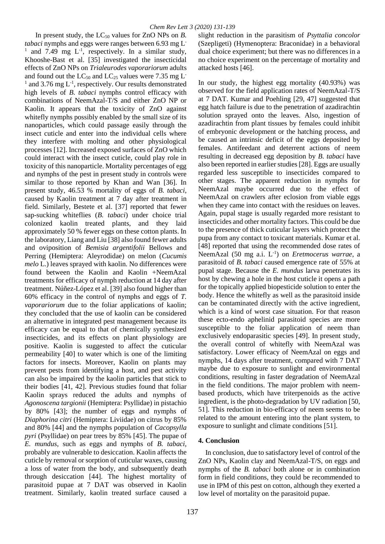In present study, the LC<sub>50</sub> values for ZnO NPs on *B*. *tabaci* nymphs and eggs were ranges between 6.93 mg L-<sup>1</sup> and 7.49 mg  $L^{-1}$ , respectively. In a similar study, Khooshe-Bast et al. [35] investigated the insecticidal effects of ZnO NPs on *Trialeurodes vaporariorum* adults and found out the LC<sub>50</sub> and LC<sub>25</sub> values were 7.35 mg L<sup>-</sup>  $1$  and 3.76 mg  $L^{-1}$ , respectively. Our results demonstrated high levels of *B. tabaci* nymphs control efficacy with combinations of NeemAzal-T/S and either ZnO NP or Kaolin. It appears that the toxicity of ZnO against whitefly nymphs possibly enabled by the small size of its nanoparticles, which could passage easily through the insect cuticle and enter into the individual cells where they interfere with molting and other physiological processes [12]. Increased exposed surfaces of ZnO which could interact with the insect cuticle, could play role in toxicity of this nanoparticle. Mortality percentages of egg and nymphs of the pest in present study in controls were similar to those reported by Khan and Wan [36]. In present study, 46.53 % mortality of eggs of *B. tabaci*, caused by Kaolin treatment at 7 day after treatment in field. Similarly, Bestete et al. [37] reported that fewer sap-sucking whiteflies (*B. tabaci*) under choice trial colonized kaolin treated plants, and they laid approximately 50 % fewer eggs on these cotton plants. In the laboratory, Liang and Liu [38] also found fewer adults and oviposition of *Bemisia argentifolii* Bellows and Perring (Hemiptera: Aleyrodidae) on melon (*Cucumis melo* L.) leaves sprayed with kaolin. No differences were found between the Kaolin and Kaolin +NeemAzal treatments for efficacy of nymph reduction at 14 day after treatment. Núñez-López et al. [39] also found higher than 60% efficacy in the control of nymphs and eggs of *T. vaporariorum* due to the foliar applications of kaolin; they concluded that the use of kaolin can be considered an alternative in integrated pest management because its efficacy can be equal to that of chemically synthesized insecticides, and its effects on plant physiology are positive. Kaolin is suggested to affect the cuticular permeability [40] to water which is one of the limiting factors for insects. Moreover, Kaolin on plants may prevent pests from identifying a host, and pest activity can also be impaired by the kaolin particles that stick to their bodies [41, 42]. Previous studies found that foliar Kaolin sprays reduced the adults and nymphs of *Agonoscena targionii* (Hemiptera: Psyllidae) in pistachio by 80% [43]; the number of eggs and nymphs of *Diaphorina citri* (Hemiptera: Liviidae) on citrus by 85% and 80% [44] and the nymphs population of *Cacopsylla pyri* (Psyllidae) on pear trees by 85% [45]. The pupae of *E. mundus*, such as eggs and nymphs of *B. tabaci*, probably are vulnerable to desiccation. Kaolin affects the cuticle by removal or sorption of cuticular waxes, causing a loss of water from the body, and subsequently death through desiccation [44]. The highest mortality of parasitoid pupae at 7 DAT was observed in Kaolin treatment. Similarly, kaolin treated surface caused a

slight reduction in the parasitism of *Psyttalia concolor* (Szepligeti) (Hymenoptera: Braconidae) in a behavioral dual choice experiment; but there was no differences in a no choice experiment on the percentage of mortality and attacked hosts [46].

In our study, the highest egg mortality (40.93%) was observed for the field application rates of NeemAzal-T/S at 7 DAT. Kumar and Poehling [29, 47] suggested that egg hatch failure is due to the penetration of azadirachtin solution sprayed onto the leaves. Also, ingestion of azadirachtin from plant tissues by females could inhibit of embryonic development or the hatching process, and be caused an intrinsic deficit of the eggs deposited by females. Antifeedant and deterrent actions of neem resulting in decreased egg deposition by *B. tabaci* have also been reported in earlier studies [28]. Eggs are usually regarded less susceptible to insecticides compared to other stages. The apparent reduction in nymphs for NeemAzal maybe occurred due to the effect of NeemAzal on crawlers after eclosion from viable eggs when they came into contact with the residues on leaves. Again, pupal stage is usually regarded more resistant to insecticides and other mortality factors. This could be due to the presence of thick cuticular layers which protect the pupa from any contact to toxicant materials. Kumar et al. [48] reported that using the recommended dose rates of NeemAzal (50 mg a.i. L<sup>-1</sup>) on *Eretmocerus warrae*, a parasitoid of *B. tabaci* caused emergence rate of 55% at pupal stage. Because the *E. mundus* larva penetrates its host by chewing a hole in the host cuticle it opens a path for the topically applied biopesticide solution to enter the body. Hence the whitefly as well as the parasitoid inside can be contaminated directly with the active ingredient, which is a kind of worst case situation. For that reason these ecto-endo aphelinid parasitoid species are more susceptible to the foliar application of neem than exclusively endoparasitic species [49]. In present study, the overall control of whitefly with NeemAzal was satisfactory. Lower efficacy of NeemAzal on eggs and nymphs, 14 days after treatment, compared with 7 DAT maybe due to exposure to sunlight and environmental conditions, resulting in faster degradation of NeemAzal in the field conditions. The major problem with neembased products, which have triterpenoids as the active ingredient, is the photo-degradation by UV radiation [50, 51]. This reduction in bio-efficacy of neem seems to be related to the amount entering into the plant system, to exposure to sunlight and climate conditions [51].

### **4. Conclusion**

 In conclusion, due to satisfactory level of control of the ZnO NPs, Kaolin clay and NeemAzal-T/S, on eggs and nymphs of the *B. tabaci* both alone or in combination form in field conditions, they could be recommended to use in IPM of this pest on cotton, although they exerted a low level of mortality on the parasitoid pupae.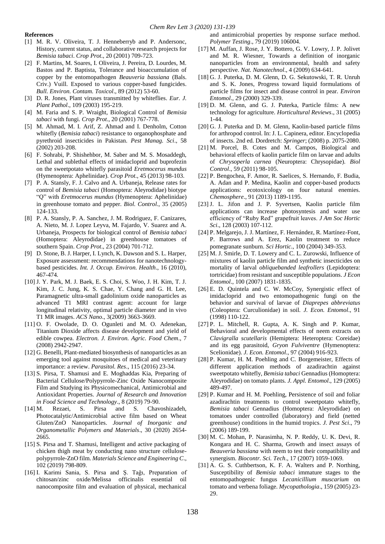#### **References**

- [1] M. R. V. Oliveira, T. J. Henneberryb and P. Andersonc, History, current status, and collaborative research projects for *Bemisia tabaci*. *Crop Prot*., 20 (2001) 709-723.
- [2] F. Martins, M. Soares, I. Oliveira, J. Pereira, D. Lourdes, M. Bastos and P. Baptista, Tolerance and bioaccumulation of copper by the entomopathogen *Beauveria bassiana* (Bals. Criv.) Vuill. Exposed to various copper-based fungicides. *Bull. Environ. Contam. Toxicol*., 89 (2012) 53-60.
- [3] D. R. Jones, Plant viruses transmitted by whiteflies. *Eur. J. Plant Pathol*., 109 (2003) 195-219.
- [4] M. Faria and S. P. Wraight, Biological Control of *Bemisia tabaci* with fungi. *Crop Prot*., 20 (2001) 767-778.
- [5] M. Ahmad, M. I. Arif, Z. Ahmad and I. Denholm, Cotton whitefly (*Bemisia tabaci*) resistance to organophosphate and pyrethroid insecticides in Pakistan. *Pest Manag. Sci*., 58 (2002) 203-208.
- [6] F. Sohrabi, P. Shishehbor, M. Saber and M. S. Mosaddegh, Lethal and sublethal effects of imidacloprid and buprofezin on the sweetpotato whitefly parasitoid *Eretmocerus mundus* (Hymenoptera: Aphelinidae). *Crop Prot*., 45 (2013) 98-103.
- [7] P. A. Stansly, F. J. Calvo and A. Urbaneja, Release rates for control of *Bemisia tabaci* (Homoptera: Aleyrodidae) biotype "Q" with *Eretmocerus mundus* (Hymenoptera: Aphelinidae) in greenhouse tomato and pepper. *Biol. Control*., 35 (2005) 124-133.
- [8] P. A. Stansly, P. A. Sanchez, J. M. Rodriguez, F. Canizares, A. Nieto, M. J. Lopez Leyva, M. Fajardo, V. Suarez and A. Urbaneja, Prospects for biological control of *Bemisia tabaci* (Homoptera: Aleyrodidae) in greenhouse tomatoes of southern Spain. *Crop Prot*., 23 (2004) 701-712.
- [9] D. Stone, B. J. Harper, I. Lynch, K. Dawson and S. L. Harper, Exposure assessment: recommendations for nanotechnologybased pesticides. *Int. J. Occup. Environ. Health*., 16 (2010), 467-474*.*
- [10] J. Y. Park, M. J. Baek, E. S. Choi, S. Woo, J. H. Kim, T. J. Kim, J. C. Jung, K. S. Chae, Y. Chang and G. H. Lee, Paramagnetic ultra-small gadolinium oxide nanoparticles as advanced T1 MRI contrast agent: account for large longitudinal relativity, optimal particle diameter and in vivo T1 MR images. *ACS Nano*., 3(2009) 3663-3669.
- [11] O. F. Owolade, D. O. Ogunleti and M. O. Adenekan, Titanium Dioxide affects disease development and yield of edible cowpea. *Electron. J. Environ. Agric. Food Chem*., 7 (2008) 2942-2947.
- [12] G. Benelli, Plant-mediated biosynthesis of nanoparticles as an emerging tool against mosquitoes of medical and veterinary importance: a review. *Parasitol. Res*., 115 (2016) 23-34.
- [13] S. Pirsa, T. Shamusi and E. Moghaddas Kia, Preparing of Bacterial Cellulose/Polypyrrole-Zinc Oxide Nanocomposite Film and Studying its Physicomechanical, Antimicrobial and Antioxidant Properties. *Journal of Research and Innovation in Food Science and Technology*., 8 (2019) 79-90.
- [14] M. Rezaei, S. Pirsa and S. Chavoshizadeh, Photocatalytic/Antimicrobial active film based on Wheat Gluten/ZnO Nanoparticles. *Journal of Inorganic and Organometallic Polymers and Materials*., 30 (2020) 2654- 2665.
- [15] S. Pirsa and T. Shamusi, Intelligent and active packaging of chicken thigh meat by conducting nano structure cellulosepolypyrrole-ZnO film. *Materials Science and Engineering C*., 102 (2019) 798-809.
- [16] I. Karimi Sania, S. Pirsa and Ş. Tağı, Preparation of chitosan/zinc oxide/Melissa officinalis essential oil nanocomposite film and evaluation of physical, mechanical

and antimicrobial properties by response surface method. *Polymer Testing*., 79 (2019) 106004.

- [17] M. Auffan, J. Rose, J. Y. Bottero, G. V. Lowry, J. P. Jolivet and M. R. Wiesner, Towards a definition of inorganic nanoparticles from an environmental, health and safety perspective. *Nat. Nanotechnol*., 4 (2009) 634-641.
- [18] G. J. Puterka, D. M. Glenn, D. G. Sekutowski, T. R. Unruh and S. K. Jones, Progress toward liquid formulations of particle films for insect and disease control in pear. *Environ Entomol*., 29 (2000) 329-339.
- [19] D. M. Glenn, and G. J. Puterka, Particle films: A new technology for agriculture. *Horticultural Reviews*., 31 (2005) 1-44.
- [20] G. J. Puterka and D. M. Glenn, Kaolin-based particle films for arthropod control. In: J. L. Capinera, editor. Encyclopedia of insects. 2nd ed. Dordretch: *Springer*; (2008) p. 2075-2080.
- [21] M. Porcel, B. Cotes and M. Campos, Biological and behavioral effects of kaolin particle film on larvae and adults of *Chrysoperla carnea* (Neuroptera: Chrysopidae). *Biol Control*., 59 (2011) 98-105.
- [22] P. Bengochea, F. Amor, R. Saelices, S. Hernando, F. Budia, A. Adan and P. Medina, Kaolin and copper-based products applications: ecotoxicology on four natural enemies. *Chemosphere*., 91 (2013) 1189-1195.
- [23] J. L. Jifon and J. P. Syvertsen, Kaolin particle film applications can increase photosyntesis and water use efficiency of "Ruby Red" grapefruit leaves. *J Am Soc Hortic Sci*., 128 (2003) 107-112.
- [24] P. Melgarejo, J. J. Martínez, F. Hernández, R. Martínez-Font, P. Barrows and A. Erez, Kaolin treatment to reduce pomegranate sunburn. *Sci Hortic*., 100 (2004) 349-353.
- [25] M. J. Smirle, D. T. Lowery and C. L. Zurowski, Influence of mixtures of kaolin particle film and synthetic insecticides on mortality of larval *obliquebanded leafrollers* (Lepidoptera: tortricidae) from resistant and susceptible populations. *J Econ Entomol*., 100 (2007) 1831-1835.
- [26] E. D. Quintela and C. W. McCoy, Synergistic effect of imidacloprid and two entomopathogenic fungi on the behavior and survival of larvae of *Diaprepes abbreviatus* (Coleoptera: Curculionidae) in soil. *J. Econ. Entomol*., 91 (1998) 110-122.
- [27] P. L. Mitchell, R. Gupta, A. K. Singh and P. Kumar, Behavioral and developmental effects of neem extracts on *Clavigralla scutellaris* (Hemiptera: Heteroptera: Coreidae) and its egg parasitoid, *Gryon Fulviventre* (Hymenoptera: Scelionidae). *J. Econ. Entomol*., 97 (2004) 916-923.
- [28] P. Kumar, H. M. Poehling and C. Borgemeister, Effects of different application methods of azadirachtin against sweetpotato whitefly, *Bemisia tabaci* Gennadius (Homoptera: Aleyrodidae) on tomato plants. *J. Appl. Entomol*., 129 (2005) 489-497.
- [29] P. Kumar and H. M. Poehling, Persistence of soil and foliar azadirachtin treatments to control sweetpotato whitefly, *Bemisia tabaci* Gennadius (Homoptera: Aleyrodidae) on tomatoes under controlled (laboratory) and field (netted greenhouse) conditions in the humid tropics. *J. Pest Sci*., 79 (2006) 189-199.
- [30] M. C. Mohan, P. Narasimha, N. P. Reddy, U. K. Devi, R. Kongara and H. C. Sharma, Growth and insect assays of *Beauveria bassiana* with neem to test their compatibility and synergism. *Biocontr. Sci. Tech*., 17 (2007) 1059-1069.
- [31] A. G. S. Cuthbertson, K. F. A. Walters and P. Northing, Susceptibility of *Bemisia tabaci* immature stages to the entomopathogenic fungus *Lecanicillium muscarium* on tomato and verbena foliage. *Mycopathologia*., 159 (2005) 23- 29.